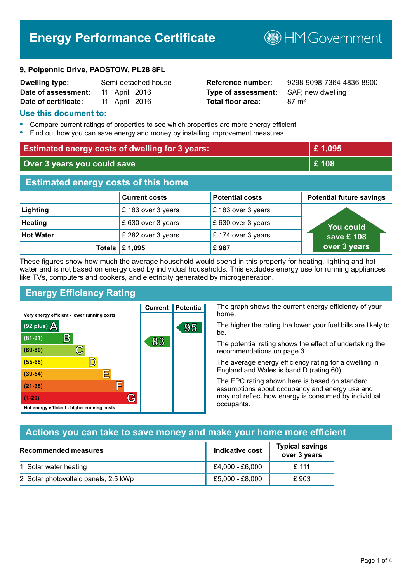# **Energy Performance Certificate**

#### **9, Polpennic Drive, PADSTOW, PL28 8FL**

| <b>Dwelling type:</b> | Semi-detached house |               |  |
|-----------------------|---------------------|---------------|--|
| Date of assessment:   |                     | 11 April 2016 |  |
| Date of certificate:  |                     | 11 April 2016 |  |

# **Type of assessment:** SAP, new dwelling **Total floor area:** 87 m<sup>2</sup>

**Dwelling type:** Semi-detached house **Reference number:** 9298-9098-7364-4836-8900

**B**HMGovernment

#### **Use this document to:**

- **•** Compare current ratings of properties to see which properties are more energy efficient
- **•** Find out how you can save energy and money by installing improvement measures

| <b>Estimated energy costs of dwelling for 3 years:</b> |                           |                        | £1,095                          |
|--------------------------------------------------------|---------------------------|------------------------|---------------------------------|
| Over 3 years you could save                            |                           |                        | £108                            |
| <b>Estimated energy costs of this home</b>             |                           |                        |                                 |
|                                                        | <b>Current costs</b>      | <b>Potential costs</b> | <b>Potential future savings</b> |
| Lighting                                               | £ 183 over 3 years        | £183 over 3 years      |                                 |
| <b>Heating</b>                                         | £630 over 3 years         | £630 over 3 years      | <u>You could</u>                |
| <b>Hot Water</b>                                       | £ 282 over 3 years        | £174 over 3 years      | save £ 108                      |
|                                                        | Totals $\mathsf{E}$ 1,095 | £987                   | over 3 years                    |

These figures show how much the average household would spend in this property for heating, lighting and hot water and is not based on energy used by individual households. This excludes energy use for running appliances like TVs, computers and cookers, and electricity generated by microgeneration.

# **Energy Efficiency Rating**

 $\mathbb{C}$ 

 $\mathbb{D}$ 

巨

庐

G

Very energy efficient - lower running costs

 $\mathsf B$ 

Not energy efficient - higher running costs

(92 plus)  $\Delta$ 

 $(81 - 91)$ 

 $(69 - 80)$ 

 $(55-68)$  $(39-54)$ 

 $(21-38)$ 

 $(1-20)$ 

The graph shows the current energy efficiency of your home.

The higher the rating the lower your fuel bills are likely to be.

The potential rating shows the effect of undertaking the recommendations on page 3.

The average energy efficiency rating for a dwelling in England and Wales is band D (rating 60).

The EPC rating shown here is based on standard assumptions about occupancy and energy use and may not reflect how energy is consumed by individual occupants.

## **Actions you can take to save money and make your home more efficient**

| Recommended measures                 | Indicative cost | <b>Typical savings</b><br>over 3 years |
|--------------------------------------|-----------------|----------------------------------------|
| 1 Solar water heating                | £4,000 - £6,000 | $£$ 111                                |
| 2 Solar photovoltaic panels, 2.5 kWp | £5,000 - £8,000 | £903                                   |

**Current | Potential** 

83

95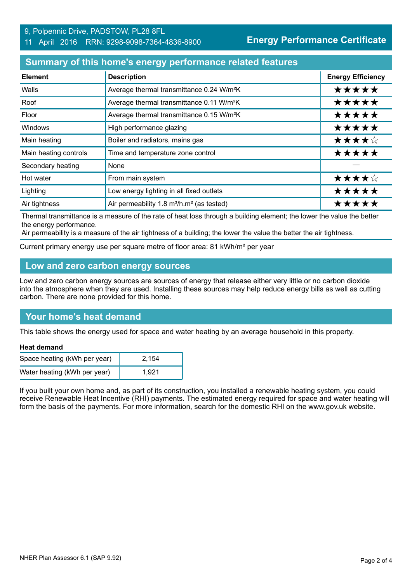#### 9, Polpennic Drive, PADSTOW, PL28 8FL 11 April 2016 RRN: 9298-9098-7364-4836-8900

**Energy Performance Certificate**

### **Summary of this home's energy performance related features**

| <b>Element</b>        | <b>Description</b>                                                | <b>Energy Efficiency</b> |
|-----------------------|-------------------------------------------------------------------|--------------------------|
| Walls                 | Average thermal transmittance 0.24 W/m <sup>2</sup> K             | *****                    |
| Roof                  | Average thermal transmittance 0.11 W/m <sup>2</sup> K             | *****                    |
| Floor                 | Average thermal transmittance 0.15 W/m <sup>2</sup> K             | *****                    |
| Windows               | High performance glazing                                          | *****                    |
| Main heating          | Boiler and radiators, mains gas                                   | ★★★★☆                    |
| Main heating controls | Time and temperature zone control                                 | *****                    |
| Secondary heating     | None                                                              |                          |
| Hot water             | From main system                                                  | ★★★★☆                    |
| Lighting              | Low energy lighting in all fixed outlets                          | *****                    |
| Air tightness         | Air permeability 1.8 m <sup>3</sup> /h.m <sup>2</sup> (as tested) | *****                    |

Thermal transmittance is a measure of the rate of heat loss through a building element; the lower the value the better the energy performance.

Air permeability is a measure of the air tightness of a building; the lower the value the better the air tightness.

Current primary energy use per square metre of floor area: 81 kWh/m² per year

### **Low and zero carbon energy sources**

Low and zero carbon energy sources are sources of energy that release either very little or no carbon dioxide into the atmosphere when they are used. Installing these sources may help reduce energy bills as well as cutting carbon. There are none provided for this home.

## **Your home's heat demand**

This table shows the energy used for space and water heating by an average household in this property.

#### **Heat demand**

| Space heating (kWh per year) | 2.154 |
|------------------------------|-------|
| Water heating (kWh per year) | 1.921 |

If you built your own home and, as part of its construction, you installed a renewable heating system, you could receive Renewable Heat Incentive (RHI) payments. The estimated energy required for space and water heating will form the basis of the payments. For more information, search for the domestic RHI on the www.gov.uk website.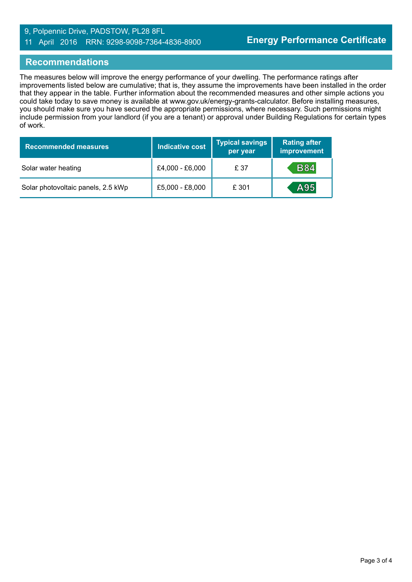#### 9, Polpennic Drive, PADSTOW, PL28 8FL 11 April 2016 RRN: 9298-9098-7364-4836-8900

#### **Recommendations**

The measures below will improve the energy performance of your dwelling. The performance ratings after improvements listed below are cumulative; that is, they assume the improvements have been installed in the order that they appear in the table. Further information about the recommended measures and other simple actions you could take today to save money is available at www.gov.uk/energy-grants-calculator. Before installing measures, you should make sure you have secured the appropriate permissions, where necessary. Such permissions might include permission from your landlord (if you are a tenant) or approval under Building Regulations for certain types of work.

| <b>Recommended measures</b>        | <b>Indicative cost</b> | <b>Typical savings</b><br>per year | <b>Rating after</b><br>improvement |
|------------------------------------|------------------------|------------------------------------|------------------------------------|
| Solar water heating                | £4,000 - £6,000        | £ 37                               | <b>B84</b>                         |
| Solar photovoltaic panels, 2.5 kWp | £5,000 - £8,000        | £ 301                              | A95                                |